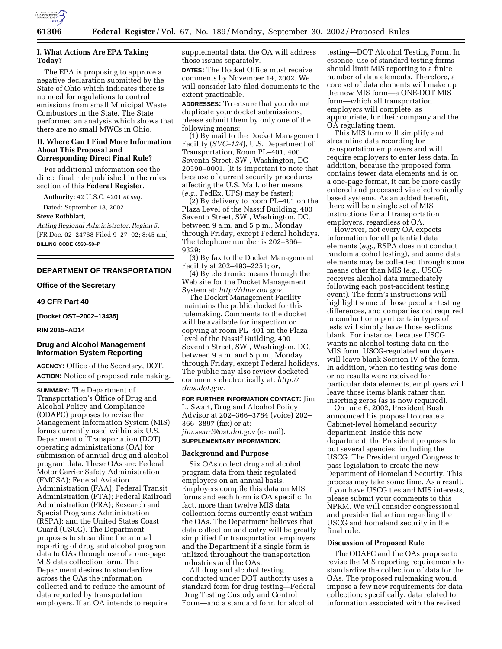

# **I. What Actions Are EPA Taking Today?**

The EPA is proposing to approve a negative declaration submitted by the State of Ohio which indicates there is no need for regulations to control emissions from small Minicipal Waste Combustors in the State. The State performed an analysis which shows that there are no small MWCs in Ohio.

## **II. Where Can I Find More Information About This Proposal and Corresponding Direct Final Rule?**

For additional information see the direct final rule published in the rules section of this **Federal Register**.

**Authority:** 42 U.S.C. 4201 *et seq.*

Dated: September 18, 2002.

## **Steve Rothblatt,**

*Acting Regional Administrator, Region 5.* [FR Doc. 02–24768 Filed 9–27–02; 8:45 am] **BILLING CODE 6560–50–P**

# **DEPARTMENT OF TRANSPORTATION**

**Office of the Secretary** 

# **49 CFR Part 40**

**[Docket OST–2002–13435]** 

### **RIN 2015–AD14**

## **Drug and Alcohol Management Information System Reporting**

**AGENCY:** Office of the Secretary, DOT. **ACTION:** Notice of proposed rulemaking.

**SUMMARY:** The Department of Transportation's Office of Drug and Alcohol Policy and Compliance (ODAPC) proposes to revise the Management Information System (MIS) forms currently used within six U.S. Department of Transportation (DOT) operating administrations (OA) for submission of annual drug and alcohol program data. These OAs are: Federal Motor Carrier Safety Administration (FMCSA); Federal Aviation Administration (FAA); Federal Transit Administration (FTA); Federal Railroad Administration (FRA); Research and Special Programs Administration (RSPA); and the United States Coast Guard (USCG). The Department proposes to streamline the annual reporting of drug and alcohol program data to OAs through use of a one-page MIS data collection form. The Department desires to standardize across the OAs the information collected and to reduce the amount of data reported by transportation employers. If an OA intends to require

supplemental data, the OA will address those issues separately.

**DATES:** The Docket Office must receive comments by November 14, 2002. We will consider late-filed documents to the extent practicable.

**ADDRESSES:** To ensure that you do not duplicate your docket submissions, please submit them by only one of the following means:

(1) By mail to the Docket Management Facility (*SVC–124*), U.S. Department of Transportation, Room PL–401, 400 Seventh Street, SW., Washington, DC 20590–0001. [It is important to note that because of current security procedures affecting the U.S. Mail, other means (*e.g.,* FedEx, UPS) may be faster];

(2) By delivery to room PL–401 on the Plaza Level of the Nassif Building, 400 Seventh Street, SW., Washington, DC, between 9 a.m. and 5 p.m., Monday through Friday, except Federal holidays. The telephone number is 202–366– 9329;

(3) By fax to the Docket Management Facility at 202–493–2251; or,

(4) By electronic means through the Web site for the Docket Management System at: *http://dms.dot.gov.*

The Docket Management Facility maintains the public docket for this rulemaking. Comments to the docket will be available for inspection or copying at room PL–401 on the Plaza level of the Nassif Building, 400 Seventh Street, SW., Washington, DC, between 9 a.m. and 5 p.m., Monday through Friday, except Federal holidays. The public may also review docketed comments electronically at: *http:// dms.dot.gov.*

**FOR FURTHER INFORMATION CONTACT:** Jim L. Swart, Drug and Alcohol Policy Advisor at 202–366–3784 (voice) 202– 366–3897 (fax) or at: *jim.swart@ost.dot.gov* (e-mail).

# **SUPPLEMENTARY INFORMATION:**

## **Background and Purpose**

Six OAs collect drug and alcohol program data from their regulated employers on an annual basis. Employers compile this data on MIS forms and each form is OA specific. In fact, more than twelve MIS data collection forms currently exist within the OAs. The Department believes that data collection and entry will be greatly simplified for transportation employers and the Department if a single form is utilized throughout the transportation industries and the OAs.

All drug and alcohol testing conducted under DOT authority uses a standard form for drug testing—Federal Drug Testing Custody and Control Form—and a standard form for alcohol

testing—DOT Alcohol Testing Form. In essence, use of standard testing forms should limit MIS reporting to a finite number of data elements. Therefore, a core set of data elements will make up the new MIS form—a ONE-DOT MIS form—which all transportation employers will complete, as appropriate, for their company and the OA regulating them.

This MIS form will simplify and streamline data recording for transportation employers and will require employers to enter less data. In addition, because the proposed form contains fewer data elements and is on a one-page format, it can be more easily entered and processed via electronically based systems. As an added benefit, there will be a single set of MIS instructions for all transportation employers, regardless of OA.

However, not every OA expects information for all potential data elements (*e.g.,* RSPA does not conduct random alcohol testing), and some data elements may be collected through some means other than MIS (*e.g.,* USCG receives alcohol data immediately following each post-accident testing event). The form's instructions will highlight some of those peculiar testing differences, and companies not required to conduct or report certain types of tests will simply leave those sections blank. For instance, because USCG wants no alcohol testing data on the MIS form, USCG-regulated employers will leave blank Section IV of the form. In addition, when no testing was done or no results were received for particular data elements, employers will leave those items blank rather than inserting zeros (as is now required).

On June 6, 2002, President Bush announced his proposal to create a Cabinet-level homeland security department. Inside this new department, the President proposes to put several agencies, including the USCG. The President urged Congress to pass legislation to create the new Department of Homeland Security. This process may take some time. As a result, if you have USCG ties and MIS interests, please submit your comments to this NPRM. We will consider congressional and presidential action regarding the USCG and homeland security in the final rule.

# **Discussion of Proposed Rule**

The ODAPC and the OAs propose to revise the MIS reporting requirements to standardize the collection of data for the OAs. The proposed rulemaking would impose a few new requirements for data collection; specifically, data related to information associated with the revised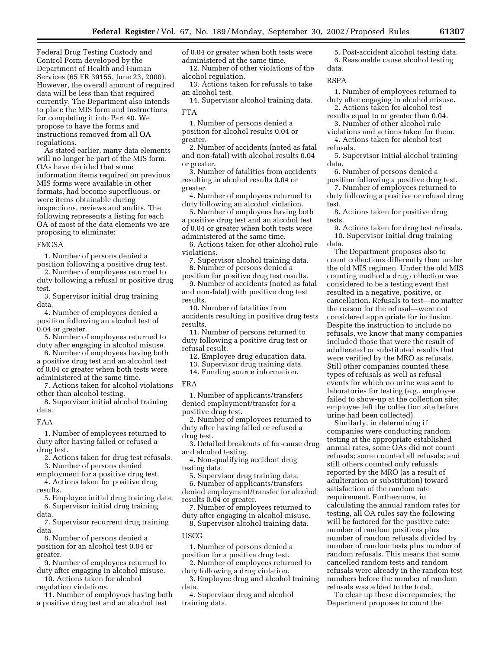Federal Drug Testing Custody and Control Form developed by the Department of Health and Human Services (65 FR 39155, June 23, 2000). However, the overall amount of required data will be less than that required currently. The Department also intends to place the MIS form and instructions for completing it into Part 40. We propose to have the forms and instructions removed from all OA regulations.

As stated earlier, many data elements will no longer be part of the MIS form. OAs have decided that some information items required on previous MIS forms were available in other formats, had become superfluous, or were items obtainable during inspections, reviews and audits. The following represents a listing for each OA of most of the data elements we are proposing to eliminate:

## FMCSA

1. Number of persons denied a position following a positive drug test.

2. Number of employees returned to duty following a refusal or positive drug test.

3. Supervisor initial drug training data.

4. Number of employees denied a position following an alcohol test of 0.04 or greater.

5. Number of employees returned to duty after engaging in alcohol misuse.

6. Number of employees having both a positive drug test and an alcohol test of 0.04 or greater when both tests were administered at the same time.

7. Actions taken for alcohol violations other than alcohol testing.

8. Supervisor initial alcohol training data.

## FAA

1. Number of employees returned to duty after having failed or refused a drug test.

- 2. Actions taken for drug test refusals.
- 3. Number of persons denied

employment for a positive drug test. 4. Actions taken for positive drug

- results.
- 5. Employee initial drug training data. 6. Supervisor initial drug training
- data.

7. Supervisor recurrent drug training data.

8. Number of persons denied a position for an alcohol test 0.04 or greater.

9. Number of employees returned to duty after engaging in alcohol misuse.

10. Actions taken for alcohol regulation violations.

11. Number of employees having both a positive drug test and an alcohol test

of 0.04 or greater when both tests were administered at the same time.

12. Number of other violations of the alcohol regulation.

13. Actions taken for refusals to take an alcohol test.

14. Supervisor alcohol training data.

## FTA

1. Number of persons denied a position for alcohol results 0.04 or greater.

2. Number of accidents (noted as fatal and non-fatal) with alcohol results 0.04 or greater.

3. Number of fatalities from accidents resulting in alcohol results 0.04 or greater.

4. Number of employees returned to duty following an alcohol violation.

5. Number of employees having both a positive drug test and an alcohol test of 0.04 or greater when both tests were administered at the same time.

6. Actions taken for other alcohol rule violations.

7. Supervisor alcohol training data. 8. Number of persons denied a

position for positive drug test results.

9. Number of accidents (noted as fatal and non-fatal) with positive drug test results.

10. Number of fatalities from accidents resulting in positive drug tests results.

11. Number of persons returned to duty following a positive drug test or refusal result.

12. Employee drug education data.

13. Supervisor drug training data.

14. Funding source information.

#### FRA

1. Number of applicants/transfers denied employment/transfer for a positive drug test.

2. Number of employees returned to duty after having failed or refused a drug test.

3. Detailed breakouts of for-cause drug and alcohol testing.

4. Non-qualifying accident drug testing data.

5. Supervisor drug training data.

6. Number of applicants/transfers denied employment/transfer for alcohol results 0.04 or greater.

7. Number of employees returned to duty after engaging in alcohol misuse.

8. Supervisor alcohol training data.

# USCG

1. Number of persons denied a position for a positive drug test.

2. Number of employees returned to duty following a drug violation.

3. Employee drug and alcohol training data.

4. Supervisor drug and alcohol training data.

5. Post-accident alcohol testing data. 6. Reasonable cause alcohol testing data.

# RSPA

1. Number of employees returned to duty after engaging in alcohol misuse.

2. Actions taken for alcohol test results equal to or greater than 0.04.

3. Number of other alcohol rule violations and actions taken for them.

4. Actions taken for alcohol test refusals.

5. Supervisor initial alcohol training data.

6. Number of persons denied a position following a positive drug test.

7. Number of employees returned to duty following a positive or refusal drug test.

8. Actions taken for positive drug tests.

9. Actions taken for drug test refusals. 10. Supervisor initial drug training data.

The Department proposes also to count collections differently than under the old MIS regimen. Under the old MIS counting method a drug collection was considered to be a testing event that resulted in a negative, positive, or cancellation. Refusals to test—no matter the reason for the refusal—were not considered appropriate for inclusion. Despite the instruction to include no refusals, we know that many companies included those that were the result of adulterated or substituted results that were verified by the MRO as refusals. Still other companies counted these types of refusals as well as refusal events for which no urine was sent to laboratories for testing (e.g., employee failed to show-up at the collection site; employee left the collection site before urine had been collected).

Similarly, in determining if companies were conducting random testing at the appropriate established annual rates, some OAs did not count refusals; some counted all refusals; and still others counted only refusals reported by the MRO (as a result of adulteration or substitution) toward satisfaction of the random rate requirement. Furthermore, in calculating the annual random rates for testing, all OA rules say the following will be factored for the positive rate: number of random positives plus number of random refusals divided by number of random tests plus number of random refusals. This means that some cancelled random tests and random refusals were already in the random test numbers before the number of random refusals was added to the total.

To clear up these discrepancies, the Department proposes to count the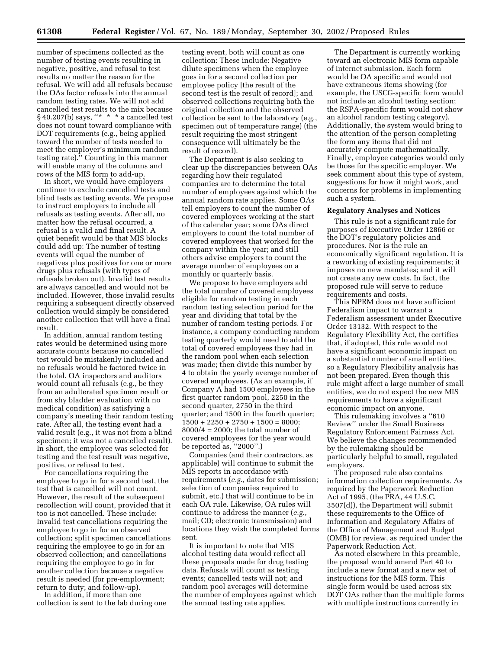number of specimens collected as the number of testing events resulting in negative, positive, and refusal to test results no matter the reason for the refusal. We will add all refusals because the OAs factor refusals into the annual random testing rates. We will not add cancelled test results to the mix because § 40.207(b) says, "\* \* \* a cancelled test does not count toward compliance with DOT requirements (e.g., being applied toward the number of tests needed to meet the employer's minimum random testing rate).'' Counting in this manner will enable many of the columns and rows of the MIS form to add-up.

In short, we would have employers continue to exclude cancelled tests and blind tests as testing events. We propose to instruct employers to include all refusals as testing events. After all, no matter how the refusal occurred, a refusal is a valid and final result. A quiet benefit would be that MIS blocks could add up: The number of testing events will equal the number of negatives plus positives for one or more drugs plus refusals (with types of refusals broken out). Invalid test results are always cancelled and would not be included. However, those invalid results requiring a subsequent directly observed collection would simply be considered another collection that will have a final result.

In addition, annual random testing rates would be determined using more accurate counts because no cancelled test would be mistakenly included and no refusals would be factored twice in the total. OA inspectors and auditors would count all refusals (e.g., be they from an adulterated specimen result or from shy bladder evaluation with no medical condition) as satisfying a company's meeting their random testing rate. After all, the testing event had a valid result (e.g., it was not from a blind specimen; it was not a cancelled result). In short, the employee was selected for testing and the test result was negative, positive, or refusal to test.

For cancellations requiring the employee to go in for a second test, the test that is cancelled will not count. However, the result of the subsequent recollection will count, provided that it too is not cancelled. These include: Invalid test cancellations requiring the employee to go in for an observed collection; split specimen cancellations requiring the employee to go in for an observed collection; and cancellations requiring the employee to go in for another collection because a negative result is needed (for pre-employment; return to duty; and follow-up).

In addition, if more than one collection is sent to the lab during one

testing event, both will count as one collection: These include: Negative dilute specimens when the employee goes in for a second collection per employee policy [the result of the second test is the result of record]; and observed collections requiring both the original collection and the observed collection be sent to the laboratory (e.g., specimen out of temperature range) (the result requiring the most stringent consequence will ultimately be the result of record).

The Department is also seeking to clear up the discrepancies between OAs regarding how their regulated companies are to determine the total number of employees against which the annual random rate applies. Some OAs tell employers to count the number of covered employees working at the start of the calendar year; some OAs direct employers to count the total number of covered employees that worked for the company within the year; and still others advise employers to count the average number of employees on a monthly or quarterly basis.

We propose to have employers add the total number of covered employees eligible for random testing in each random testing selection period for the year and dividing that total by the number of random testing periods. For instance, a company conducting random testing quarterly would need to add the total of covered employees they had in the random pool when each selection was made; then divide this number by 4 to obtain the yearly average number of covered employees. (As an example, if Company A had 1500 employees in the first quarter random pool, 2250 in the second quarter, 2750 in the third quarter; and 1500 in the fourth quarter;  $1500 + 2250 + 2750 + 1500 = 8000;$  $8000/4 = 2000$ ; the total number of covered employees for the year would be reported as, "2000".)

Companies (and their contractors, as applicable) will continue to submit the MIS reports in accordance with requirements (*e.g.*, dates for submission; selection of companies required to submit, etc.) that will continue to be in each OA rule. Likewise, OA rules will continue to address the manner (*e.g.*, mail; CD; electronic transmission) and locations they wish the completed forms sent.

It is important to note that MIS alcohol testing data would reflect all these proposals made for drug testing data. Refusals will count as testing events; cancelled tests will not; and random pool averages will determine the number of employees against which the annual testing rate applies.

The Department is currently working toward an electronic MIS form capable of Internet submission. Each form would be OA specific and would not have extraneous items showing (for example, the USCG-specific form would not include an alcohol testing section; the RSPA-specific form would not show an alcohol random testing category). Additionally, the system would bring to the attention of the person completing the form any items that did not accurately compute mathematically. Finally, employee categories would only be those for the specific employer. We seek comment about this type of system, suggestions for how it might work, and concerns for problems in implementing such a system.

#### **Regulatory Analyses and Notices**

This rule is not a significant rule for purposes of Executive Order 12866 or the DOT's regulatory policies and procedures. Nor is the rule an economically significant regulation. It is a reworking of existing requirements; it imposes no new mandates; and it will not create any new costs. In fact, the proposed rule will serve to reduce requirements and costs.

This NPRM does not have sufficient Federalism impact to warrant a Federalism assessment under Executive Order 13132. With respect to the Regulatory Flexibility Act, the certifies that, if adopted, this rule would not have a significant economic impact on a substantial number of small entities, so a Regulatory Flexibility analysis has not been prepared. Even though this rule might affect a large number of small entities, we do not expect the new MIS requirements to have a significant economic impact on anyone.

This rulemaking involves a ''610 Review'' under the Small Business Regulatory Enforcement Fairness Act. We believe the changes recommended by the rulemaking should be particularly helpful to small, regulated employers.

The proposed rule also contains information collection requirements. As required by the Paperwork Reduction Act of 1995, (the PRA, 44 U.S.C. 3507(d)), the Department will submit these requirements to the Office of Information and Regulatory Affairs of the Office of Management and Budget (OMB) for review, as required under the Paperwork Reduction Act.

As noted elsewhere in this preamble, the proposal would amend Part 40 to include a new format and a new set of instructions for the MIS form. This single form would be used across six DOT OAs rather than the multiple forms with multiple instructions currently in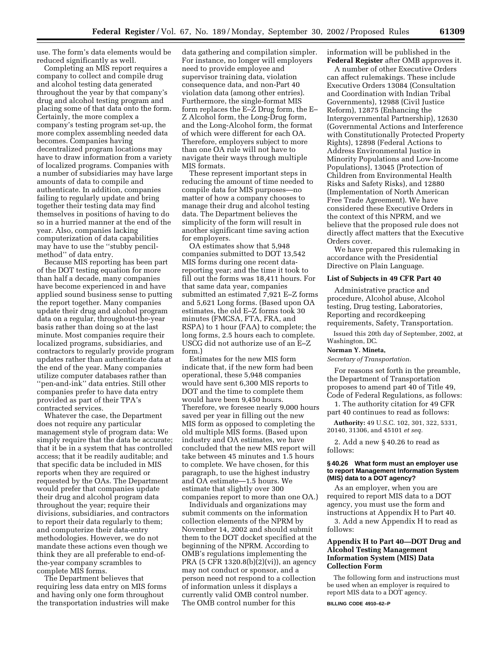use. The form's data elements would be reduced significantly as well.

Completing an MIS report requires a company to collect and compile drug and alcohol testing data generated throughout the year by that company's drug and alcohol testing program and placing some of that data onto the form. Certainly, the more complex a company's testing program set-up, the more complex assembling needed data becomes. Companies having decentralized program locations may have to draw information from a variety of localized programs. Companies with a number of subsidiaries may have large amounts of data to compile and authenticate. In addition, companies failing to regularly update and bring together their testing data may find themselves in positions of having to do so in a hurried manner at the end of the year. Also, companies lacking computerization of data capabilities may have to use the ''stubby pencilmethod'' of data entry.

Because MIS reporting has been part of the DOT testing equation for more than half a decade, many companies have become experienced in and have applied sound business sense to putting the report together. Many companies update their drug and alcohol program data on a regular, throughout-the-year basis rather than doing so at the last minute. Most companies require their localized programs, subsidiaries, and contractors to regularly provide program updates rather than authenticate data at the end of the year. Many companies utilize computer databases rather than ''pen-and-ink'' data entries. Still other companies prefer to have data entry provided as part of their TPA's contracted services.

Whatever the case, the Department does not require any particular management style of program data: We simply require that the data be accurate; that it be in a system that has controlled access; that it be readily auditable; and that specific data be included in MIS reports when they are required or requested by the OAs. The Department would prefer that companies update their drug and alcohol program data throughout the year; require their divisions, subsidiaries, and contractors to report their data regularly to them; and computerize their data-entry methodologies. However, we do not mandate these actions even though we think they are all preferable to end-ofthe-year company scrambles to complete MIS forms.

The Department believes that requiring less data entry on MIS forms and having only one form throughout the transportation industries will make

data gathering and compilation simpler. For instance, no longer will employers need to provide employee and supervisor training data, violation consequence data, and non-Part 40 violation data (among other entries). Furthermore, the single-format MIS form replaces the E–Z Drug form, the E– Z Alcohol form, the Long-Drug form, and the Long-Alcohol form, the format of which were different for each OA. Therefore, employers subject to more than one OA rule will not have to navigate their ways through multiple MIS formats.

These represent important steps in reducing the amount of time needed to compile data for MIS purposes—no matter of how a company chooses to manage their drug and alcohol testing data. The Department believes the simplicity of the form will result in another significant time saving action for employers.

OA estimates show that 5,948 companies submitted to DOT 13,542 MIS forms during one recent datareporting year; and the time it took to fill out the forms was 18,411 hours. For that same data year, companies submitted an estimated 7,921 E–Z forms and 5,621 Long forms. (Based upon OA estimates, the old E–Z forms took 30 minutes (FMCSA, FTA, FRA, and RSPA) to 1 hour (FAA) to complete; the long forms, 2.5 hours each to complete. USCG did not authorize use of an E–Z form.)

Estimates for the new MIS form indicate that, if the new form had been operational, these 5,948 companies would have sent 6,300 MIS reports to DOT and the time to complete them would have been 9,450 hours. Therefore, we foresee nearly 9,000 hours saved per year in filling out the new MIS form as opposed to completing the old multiple MIS forms. (Based upon industry and OA estimates, we have concluded that the new MIS report will take between 45 minutes and 1.5 hours to complete. We have chosen, for this paragraph, to use the highest industry and OA estimate—1.5 hours. We estimate that slightly over 300 companies report to more than one OA.)

Individuals and organizations may submit comments on the information collection elements of the NPRM by November 14, 2002 and should submit them to the DOT docket specified at the beginning of the NPRM. According to OMB's regulations implementing the PRA (5 CFR 1320.8(b) $\overline{2}$ )(vi)), an agency may not conduct or sponsor, and a person need not respond to a collection of information unless it displays a currently valid OMB control number. The OMB control number for this

information will be published in the **Federal Register** after OMB approves it.

A number of other Executive Orders can affect rulemakings. These include Executive Orders 13084 (Consultation and Coordination with Indian Tribal Governments), 12988 (Civil Justice Reform), 12875 (Enhancing the Intergovernmental Partnership), 12630 (Governmental Actions and Interference with Constitutionally Protected Property Rights), 12898 (Federal Actions to Address Environmental Justice in Minority Populations and Low-Income Populations), 13045 (Protection of Children from Environmental Health Risks and Safety Risks), and 12880 (Implementation of North American Free Trade Agreement). We have considered these Executive Orders in the context of this NPRM, and we believe that the proposed rule does not directly affect matters that the Executive Orders cover.

We have prepared this rulemaking in accordance with the Presidential Directive on Plain Language.

## **List of Subjects in 49 CFR Part 40**

Administrative practice and procedure, Alcohol abuse, Alcohol testing, Drug testing, Laboratories, Reporting and recordkeeping requirements, Safety, Transportation.

Issued this 20th day of September, 2002, at Washington, DC.

## **Norman Y. Mineta,**

*Secretary of Transportation.*

For reasons set forth in the preamble, the Department of Transportation proposes to amend part 40 of Title 49, Code of Federal Regulations, as follows:

1. The authority citation for 49 CFR part 40 continues to read as follows:

**Authority:** 49 U.S.C. 102, 301, 322, 5331, 20140, 31306, and 45101 *et seq.*

2. Add a new § 40.26 to read as follows:

## **§ 40.26 What form must an employer use to report Management Information System (MIS) data to a DOT agency?**

As an employer, when you are required to report MIS data to a DOT agency, you must use the form and instructions at Appendix H to Part 40.

3. Add a new Appendix H to read as follows:

# **Appendix H to Part 40—DOT Drug and Alcohol Testing Management Information System (MIS) Data Collection Form**

The following form and instructions must be used when an employer is required to report MIS data to a DOT agency.

**BILLING CODE 4910–62–P**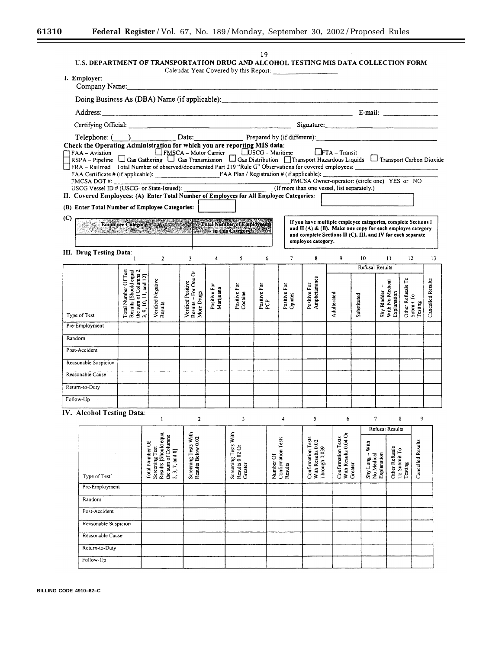Ξ

۰

| 1 Q                                                                                 |
|-------------------------------------------------------------------------------------|
| U.S. DEPARTMENT OF TRANSPORTATION DRUG AND ALCOHOL TESTING MIS DATA COLLECTION FORM |
| Calendar Year Covered by this Report:                                               |
| I. Employer:                                                                        |
| Company Name:                                                                       |

| Doing Business As (DBA) Name (if applicable): ___________________________________                                                                                                                                             |                                                                                                 |                                       |                                                         |                  |                                                                   |                     |                  |                                     |                                                                 |                        |                                                   |                                           |                   |
|-------------------------------------------------------------------------------------------------------------------------------------------------------------------------------------------------------------------------------|-------------------------------------------------------------------------------------------------|---------------------------------------|---------------------------------------------------------|------------------|-------------------------------------------------------------------|---------------------|------------------|-------------------------------------|-----------------------------------------------------------------|------------------------|---------------------------------------------------|-------------------------------------------|-------------------|
| Address:                                                                                                                                                                                                                      | E-mail:                                                                                         |                                       |                                                         |                  |                                                                   |                     |                  |                                     |                                                                 |                        |                                                   |                                           |                   |
|                                                                                                                                                                                                                               |                                                                                                 |                                       | Signature:                                              |                  |                                                                   |                     |                  |                                     |                                                                 |                        |                                                   |                                           |                   |
| Telephone: () Date: Prepared by (if different): 1999 (1999) Date: 1999 (1999) Date: 1999 (1999) Date: 1999 (1999) Date: 1999 (1999) Date: 1999 (1999) Date: 1999 (1999) Date: 1999 (1999) Date: 1999 (1999) Date: 1999 (1999) |                                                                                                 |                                       |                                                         |                  |                                                                   |                     |                  |                                     |                                                                 |                        |                                                   |                                           |                   |
| Check the Operating Administration for which you are reporting MIS data:                                                                                                                                                      |                                                                                                 |                                       |                                                         |                  |                                                                   |                     |                  |                                     | $ETA - Transit$                                                 |                        |                                                   |                                           |                   |
| $FAA - A$ viation<br>RSPA – Pipeline Gas Gathering Gas Transmission Gas Distribution GTransport Hazardous Liquids LJ Transport Carbon Dioxide                                                                                 |                                                                                                 |                                       |                                                         |                  | FMSCA - Motor Carrier _ DUSCG - Maritime                          |                     |                  |                                     |                                                                 |                        |                                                   |                                           |                   |
|                                                                                                                                                                                                                               |                                                                                                 |                                       |                                                         |                  |                                                                   |                     |                  |                                     |                                                                 |                        |                                                   |                                           |                   |
| FAA Certificate # (if applicable): FAA Plan / Registration # (if applicable): _______                                                                                                                                         |                                                                                                 |                                       |                                                         |                  |                                                                   |                     |                  |                                     |                                                                 |                        |                                                   |                                           |                   |
| FMCSA DOT #: FMCSA Owner-operator: (circle one) YES or NO<br>USCG Vessel ID # (USCG- or State-Issued): (If more than one vessel, list separately.)                                                                            |                                                                                                 |                                       |                                                         |                  |                                                                   |                     |                  |                                     |                                                                 |                        |                                                   |                                           |                   |
| II. Covered Employees: (A) Enter Total Number of Employees for All Employee Categories:                                                                                                                                       |                                                                                                 |                                       |                                                         |                  |                                                                   |                     |                  |                                     |                                                                 |                        |                                                   |                                           |                   |
| (B) Enter Total Number of Employee Categories:                                                                                                                                                                                |                                                                                                 |                                       |                                                         |                  |                                                                   |                     |                  |                                     |                                                                 |                        |                                                   |                                           |                   |
| (C)                                                                                                                                                                                                                           |                                                                                                 |                                       |                                                         |                  |                                                                   |                     |                  |                                     | If you have multiple employee categories, complete Sections I   |                        |                                                   |                                           |                   |
|                                                                                                                                                                                                                               |                                                                                                 | Employee Category                     |                                                         |                  | Total Number of Employees<br><b>Severe in this Category N. 38</b> |                     |                  |                                     | and II $(A)$ & $(B)$ . Make one copy for each employee category |                        |                                                   |                                           |                   |
|                                                                                                                                                                                                                               |                                                                                                 |                                       |                                                         |                  |                                                                   |                     |                  | employee category.                  | and complete Sections II (C), III, and IV for each separate     |                        |                                                   |                                           |                   |
| III. Drug Testing Data:                                                                                                                                                                                                       |                                                                                                 |                                       |                                                         |                  |                                                                   |                     |                  |                                     |                                                                 |                        |                                                   |                                           |                   |
|                                                                                                                                                                                                                               | $\mathbf{1}$                                                                                    | $\overline{2}$                        | 3                                                       | $\boldsymbol{4}$ | 5                                                                 | 6                   | $\overline{7}$   | 8                                   | 9                                                               | 10                     | $\mathbf{11}$                                     | 12                                        | 13                |
|                                                                                                                                                                                                                               |                                                                                                 |                                       |                                                         |                  |                                                                   |                     |                  |                                     | Refusal Results                                                 |                        |                                                   |                                           |                   |
|                                                                                                                                                                                                                               |                                                                                                 |                                       |                                                         |                  |                                                                   |                     |                  |                                     |                                                                 |                        |                                                   |                                           |                   |
|                                                                                                                                                                                                                               |                                                                                                 |                                       |                                                         | Positive For     | Positive For                                                      | Positive For<br>PCP | Positive For     | Amphetamines<br>Positive For        |                                                                 |                        | $\mathbf{r}$                                      |                                           |                   |
|                                                                                                                                                                                                                               |                                                                                                 |                                       |                                                         | Marijuana        | Cocaine                                                           |                     | Opiates          |                                     |                                                                 |                        |                                                   |                                           |                   |
|                                                                                                                                                                                                                               | the sum of Columns 2,<br>Total Number Of Test<br>Results [Should equal<br>3, 9, 10, 11, and 12] | Verified Negative<br>Results          | Results ~ For One Or<br>Verified Positive<br>More Drugs |                  |                                                                   |                     |                  |                                     | Adulterated                                                     | Substituted            | With No Medical<br>Shy Bladder<br>Explanation     | Other Refusals To<br>Submit To<br>Testing | Cancelled Results |
| Type of Test                                                                                                                                                                                                                  |                                                                                                 |                                       |                                                         |                  |                                                                   |                     |                  |                                     |                                                                 |                        |                                                   |                                           |                   |
| Pre-Employment                                                                                                                                                                                                                |                                                                                                 |                                       |                                                         |                  |                                                                   |                     |                  |                                     |                                                                 |                        |                                                   |                                           |                   |
| Random                                                                                                                                                                                                                        |                                                                                                 |                                       |                                                         |                  |                                                                   |                     |                  |                                     |                                                                 |                        |                                                   |                                           |                   |
| Post-Accident                                                                                                                                                                                                                 |                                                                                                 |                                       |                                                         |                  |                                                                   |                     |                  |                                     |                                                                 |                        |                                                   |                                           |                   |
| Reasonable Suspicion                                                                                                                                                                                                          |                                                                                                 |                                       |                                                         |                  |                                                                   |                     |                  |                                     |                                                                 |                        |                                                   |                                           |                   |
| Reasonable Cause                                                                                                                                                                                                              |                                                                                                 |                                       |                                                         |                  |                                                                   |                     |                  |                                     |                                                                 |                        |                                                   |                                           |                   |
|                                                                                                                                                                                                                               |                                                                                                 |                                       |                                                         |                  |                                                                   |                     |                  |                                     |                                                                 |                        |                                                   |                                           |                   |
| Return-to-Duty                                                                                                                                                                                                                |                                                                                                 |                                       |                                                         |                  |                                                                   |                     |                  |                                     |                                                                 |                        |                                                   |                                           |                   |
| Follow-Up                                                                                                                                                                                                                     |                                                                                                 |                                       |                                                         |                  |                                                                   |                     |                  |                                     |                                                                 |                        |                                                   |                                           |                   |
| IV. Alcohol Testing Data:                                                                                                                                                                                                     |                                                                                                 |                                       |                                                         |                  |                                                                   |                     |                  |                                     |                                                                 |                        |                                                   |                                           |                   |
|                                                                                                                                                                                                                               |                                                                                                 | $\mathbf{I}$                          | $\overline{\mathbf{c}}$                                 |                  | $\mathbf{3}$                                                      |                     | 4                | 5                                   | 6                                                               |                        | $\overline{7}$                                    | 9<br>8                                    |                   |
|                                                                                                                                                                                                                               |                                                                                                 |                                       |                                                         |                  |                                                                   |                     |                  |                                     |                                                                 | <b>Refusal Results</b> |                                                   |                                           |                   |
|                                                                                                                                                                                                                               |                                                                                                 | sults [Should equal<br>sum of Columns | eening Tests With<br>sults Below 0.02                   |                  | reening Tests With                                                |                     |                  |                                     | ith Results 0.04 Or                                             |                        |                                                   |                                           |                   |
|                                                                                                                                                                                                                               |                                                                                                 | ial Number Of                         |                                                         |                  | sults $0.02$ Or                                                   |                     | nfirmation Tests | nfirmation Tests<br>th Results 0.02 | nfirmation Tests                                                | y Lung ~ With          |                                                   | ncelled Results                           |                   |
|                                                                                                                                                                                                                               |                                                                                                 | reening Test<br>3, 7, and 8]          |                                                         |                  |                                                                   |                     | mber Of          | rough 0.039                         |                                                                 |                        | ter Refusals<br>Submit To<br>planation<br>Medical |                                           |                   |
|                                                                                                                                                                                                                               |                                                                                                 |                                       |                                                         |                  | cater                                                             |                     | sults            |                                     | cater                                                           |                        |                                                   | sting                                     |                   |

|                      | ż<br>⊷<br>ಷ<br>Screening<br>Results<br>m | Screening<br>щ<br>Results | Screening<br>0<br>Results<br>Greater | Number<br>Confirma<br>Results | onfirma<br>λë<br>Through | Confirma<br>With Res<br>Greater | آ<br>آ<br>Explanat<br>Nedi | జ<br>Subm<br>To Subr<br>Testing | Cancelle |
|----------------------|------------------------------------------|---------------------------|--------------------------------------|-------------------------------|--------------------------|---------------------------------|----------------------------|---------------------------------|----------|
| Type of Test         | Total<br>ຕ<br>å<br>$\sim$                |                           |                                      |                               | with<br>ပ                |                                 | $\sin y$<br>َ ج'           | Other                           |          |
| Pre-Employment       |                                          |                           |                                      |                               |                          |                                 |                            |                                 |          |
| Random               |                                          |                           |                                      |                               |                          |                                 |                            |                                 |          |
| Post-Accident        |                                          |                           |                                      |                               |                          |                                 |                            |                                 |          |
| Reasonable Suspicion |                                          |                           |                                      |                               |                          |                                 |                            |                                 |          |
| Reasonable Cause     |                                          |                           |                                      |                               |                          |                                 |                            |                                 |          |
| Return-to-Duty       |                                          |                           |                                      |                               |                          |                                 |                            |                                 |          |
| Follow-Up            |                                          |                           |                                      |                               |                          |                                 |                            |                                 |          |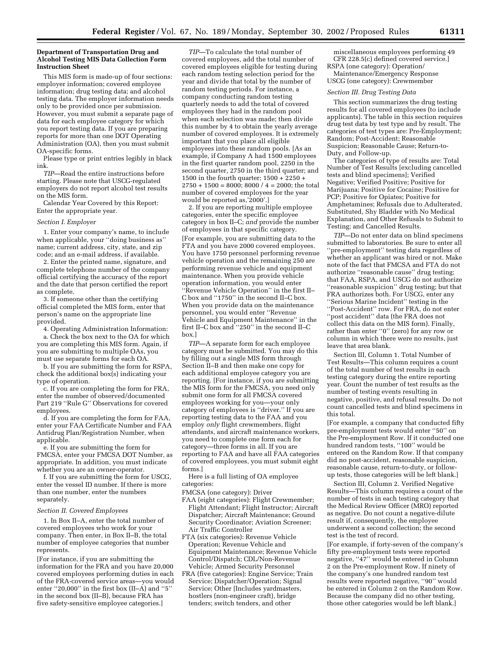### **Department of Transportation Drug and Alcohol Testing MIS Data Collection Form Instruction Sheet**

This MIS form is made-up of four sections: employer information; covered employee information; drug testing data; and alcohol testing data. The employer information needs only to be provided once per submission. However, you must submit a separate page of data for each employee category for which you report testing data. If you are preparing reports for more than one DOT Operating Administration (OA), then you must submit OA-specific forms.

Please type or print entries legibly in black ink.

*TIP*—Read the entire instructions before starting. Please note that USCG-regulated employers do not report alcohol test results on the MIS form.

Calendar Year Covered by this Report: Enter the appropriate year.

#### *Section I. Employer*

1. Enter your company's name, to include when applicable, your ''doing business as'' name; current address, city, state, and zip code; and an e-mail address, if available.

2. Enter the printed name, signature, and complete telephone number of the company official certifying the accuracy of the report and the date that person certified the report as complete.

3. If someone other than the certifying official completed the MIS form, enter that person's name on the appropriate line provided.

4. Operating Administration Information:

a. Check the box next to the OA for which you are completing this MIS form. Again, if you are submitting to multiple OAs, you must use separate forms for each OA.

b. If you are submitting the form for RSPA, check the additional box(s) indicating your type of operation.

c. If you are completing the form for FRA, enter the number of observed/documented Part 219 ''Rule G'' Observations for covered employees.

d. If you are completing the form for FAA, enter your FAA Certificate Number and FAA Antidrug Plan/Registration Number, when applicable.

e. If you are submitting the form for FMCSA, enter your FMCSA DOT Number, as appropriate. In addition, you must indicate whether you are an owner-operator.

f. If you are submitting the form for USCG, enter the vessel ID number. If there is more than one number, enter the numbers separately.

#### *Section II. Covered Employees*

1. In Box II–A, enter the total number of covered employees who work for your company. Then enter, in Box II–B, the total number of employee categories that number represents.

[For instance, if you are submitting the information for the FRA and you have 20,000 covered employees performing duties in each of the FRA-covered service areas—you would enter "20,000" in the first box  $(II-A)$  and "5" in the second box (II–B), because FRA has five safety-sensitive employee categories.]

*TIP*—To calculate the total number of covered employees, add the total number of covered employees eligible for testing during each random testing selection period for the year and divide that total by the number of random testing periods. For instance, a company conducting random testing quarterly needs to add the total of covered employees they had in the random pool when each selection was made; then divide this number by 4 to obtain the yearly average number of covered employees. It is extremely important that you place all eligible employees into these random pools. [As an example, if Company A had 1500 employees in the first quarter random pool, 2250 in the second quarter, 2750 in the third quarter; and 1500 in the fourth quarter; 1500 + 2250 +  $2750 + 1500 = 8000$ ;  $8000 / 4 = 2000$ ; the total number of covered employees for the year would be reported as,'2000'.]

2. If you are reporting multiple employee categories, enter the specific employee category in box II–C; *and* provide the number of employees in that specific category. [For example, you are submitting data to the FTA and you have 2000 covered employees. You have 1750 personnel performing revenue vehicle operation and the remaining 250 are performing revenue vehicle and equipment maintenance. When you provide vehicle operation information, you would enter ''Revenue Vehicle Operation'' in the first II– C box and ''1750'' in the second II–C box. When you provide data on the maintenance personnel, you would enter ''Revenue Vehicle and Equipment Maintenance'' in the first II–C box and ''250'' in the second II–C box.]

*TIP*—A separate form for each employee category must be submitted. You may do this by filling out a single MIS form through Section II–B and then make one copy for each additional employee category you are reporting. [For instance, if you are submitting the MIS form for the FMCSA, you need only submit one form for all FMCSA covered employees working for you—your only category of employees is ''driver.'' If you are reporting testing data to the FAA and you employ *only* flight crewmembers, flight attendants, and aircraft maintenance workers, you need to complete one form each for category—three forms in all. If you are reporting to FAA and have all FAA categories of covered employees, you must submit eight forms.]

Here is a full listing of OA employee categories:

FMCSA (one category): Driver

- FAA (eight categories): Flight Crewmember; Flight Attendant; Flight Instructor; Aircraft Dispatcher; Aircraft Maintenance; Ground Security Coordinator; Aviation Screener; Air Traffic Controller
- FTA (six categories): Revenue Vehicle Operation; Revenue Vehicle and Equipment Maintenance; Revenue Vehicle Control/Dispatch; CDL/Non-Revenue Vehicle; Armed Security Personnel
- FRA (five categories): Engine Service; Train Service; Dispatcher/Operation; Signal Service; Other [Includes yardmasters, hostlers (non-engineer craft), bridge tenders; switch tenders, and other

miscellaneous employees performing 49 CFR 228.5(c) defined covered service.] RSPA (one category): Operation/

Maintenance/Emergency Response USCG (one category): Crewmember

### *Section III. Drug Testing Data*

This section summarizes the drug testing results for all covered employees (to include applicants). The table in this section requires drug test data by test type and by result. The categories of test types are: Pre-Employment; Random; Post-Accident; Reasonable Suspicion; Reasonable Cause; Return-to-Duty, and Follow-up.

The categories of type of results are: Total Number of Test Results [excluding cancelled tests and blind specimens]; Verified Negative; Verified Positive; Positive for Marijuana; Positive for Cocaine; Positive for PCP; Positive for Opiates; Positive for Amphetamines; Refusals due to Adulterated, Substituted, Shy Bladder with No Medical Explanation, and Other Refusals to Submit to Testing; and Cancelled Results.

*TIP*—Do not enter data on blind specimens submitted to laboratories. Be sure to enter all 'pre-employment'' testing data regardless of whether an applicant was hired or not. Make note of the fact that FMCSA and FTA do not authorize ''reasonable cause'' drug testing; that FAA, RSPA, and USCG do not authorize ''reasonable suspicion'' drug testing; but that FRA authorizes both. For USCG, enter any ''Serious Marine Incident'' testing in the ''Post-Accident'' row. For FRA, do not enter ''post accident'' data (the FRA does not collect this data on the MIS form). Finally, rather than enter ''0'' (zero) for any row or column in which there were no results, just leave that area blank.

Section III, Column 1. Total Number of Test Results—This column requires a count of the total number of test results in each testing category during the entire reporting year. Count the number of test results as the number of testing events resulting in negative, positive, and refusal results. Do not count cancelled tests and blind specimens in this total.

[For example, a company that conducted fifty pre-employment tests would enter ''50'' on the Pre-employment Row. If it conducted one hundred random tests, ''100'' would be entered on the Random Row. If that company did no post-accident, reasonable suspicion, reasonable cause, return-to-duty, or followup tests, those categories will be left blank.]

Section III, Column 2. Verified Negative Results—This column requires a count of the number of tests in each testing category that the Medical Review Officer (MRO) reported as negative. Do not count a negative-dilute result if, consequently, the employee underwent a second collection; the second test is the test of record.

[For example, if forty-seven of the company's fifty pre-employment tests were reported negative, "47" would be entered in Column 2 on the Pre-employment Row. If ninety of the company's one hundred random test results were reported negative, ''90'' would be entered in Column 2 on the Random Row. Because the company did no other testing, those other categories would be left blank.]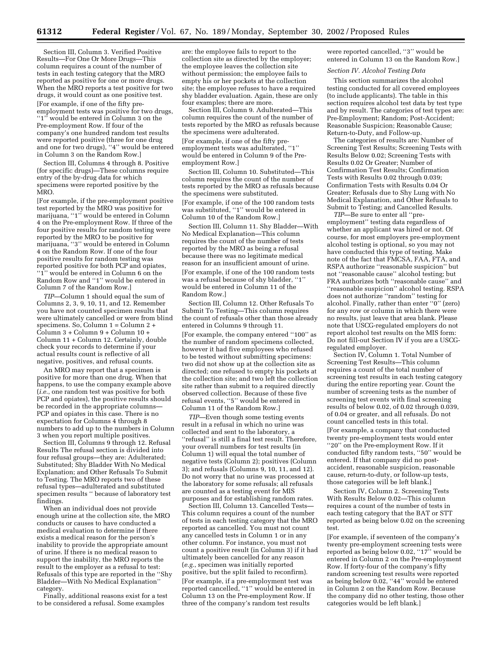Section III, Column 3. Verified Positive Results—For One Or More Drugs—This column requires a count of the number of tests in each testing category that the MRO reported as positive for one or more drugs. When the MRO reports a test positive for two drugs, it would count as one positive test.

[For example, if one of the fifty preemployment tests was positive for two drugs, would be entered in Column 3 on the Pre-employment Row. If four of the company's one hundred random test results were reported positive (three for one drug and one for two drugs), ''4'' would be entered in Column 3 on the Random Row.]

Section III, Columns 4 through 8. Positive (for specific drugs)—These columns require entry of the by-drug data for which specimens were reported positive by the MRO.

[For example, if the pre-employment positive test reported by the MRO was positive for marijuana, "1" would be entered in Column 4 on the Pre-employment Row. If three of the four positive results for random testing were reported by the MRO to be positive for marijuana, ''3'' would be entered in Column 4 on the Random Row. If one of the four positive results for random testing was reported positive for both PCP and opiates, "1" would be entered in Column 6 on the Random Row and ''1'' would be entered in Column 7 of the Random Row.]

*TIP*—Column 1 should equal the sum of Columns 2, 3, 9, 10, 11, and 12. Remember you have not counted specimen results that were ultimately cancelled or were from blind specimens. So, Column 1 = Column 2 + Column 3 + Column 9 + Column 10 + Column 11 + Column 12. Certainly, double check your records to determine if your actual results count is reflective of all negative, positives, and refusal counts.

An MRO may report that a specimen is positive for more than one drug. When that happens, to use the company example above (*i.e.*, one random test was positive for both PCP and opiates), the positive results should be recorded in the appropriate columns-PCP and opiates in this case. There is no expectation for Columns 4 through 8 numbers to add up to the numbers in Column 3 when you report multiple positives.

Section III, Columns 9 through 12. Refusal Results The refusal section is divided into four refusal groups—they are: Adulterated; Substituted; Shy Bladder With No Medical Explanation; and Other Refusals To Submit to Testing. The MRO reports two of these refusal types—adulterated and substituted specimen results '' because of laboratory test findings.

When an individual does not provide enough urine at the collection site, the MRO conducts or causes to have conducted a medical evaluation to determine if there exists a medical reason for the person's inability to provide the appropriate amount of urine. If there is no medical reason to support the inability, the MRO reports the result to the employer as a refusal to test: Refusals of this type are reported in the ''Shy Bladder—With No Medical Explanation" category.

Finally, additional reasons exist for a test to be considered a refusal. Some examples

are: the employee fails to report to the collection site as directed by the employer; the employee leaves the collection site without permission; the employee fails to empty his or her pockets at the collection site; the employee refuses to have a required shy bladder evaluation. Again, these are only four examples; there are more.

Section III, Column 9. Adulterated—This column requires the count of the number of tests reported by the MRO as refusals because the specimens were adulterated. [For example, if one of the fifty preemployment tests was adulterated, ''1'' would be entered in Column 9 of the Preemployment Row.]

Section III, Column 10. Substituted—This column requires the count of the number of tests reported by the MRO as refusals because the specimens were substituted. [For example, if one of the 100 random tests was substituted, ''1'' would be entered in Column 10 of the Random Row.]

Section III, Column 11. Shy Bladder—With No Medical Explanation—This column requires the count of the number of tests reported by the MRO as being a refusal because there was no legitimate medical reason for an insufficient amount of urine. [For example, if one of the 100 random tests was a refusal because of shy bladder, ''1'' would be entered in Column 11 of the Random Row.]

Section III, Column 12. Other Refusals To Submit To Testing—This column requires the count of refusals other than those already entered in Columns 9 through 11.

[For example, the company entered ''100'' as the number of random specimens collected, however it had five employees who refused to be tested without submitting specimens: two did not show up at the collection site as directed; one refused to empty his pockets at the collection site; and two left the collection site rather than submit to a required directly observed collection. Because of these five refusal events, ''5'' would be entered in Column 11 of the Random Row.]

*TIP*—Even though some testing events result in a refusal in which no urine was collected and sent to the laboratory, a ''refusal'' is still a final test result. Therefore, your overall numbers for test results (in Column 1) will equal the total number of negative tests (Column 2); positives (Column 3); and refusals (Columns 9, 10, 11, and 12). Do not worry that no urine was processed at the laboratory for some refusals; all refusals are counted as a testing event for MIS purposes and for establishing random rates.

Section III, Column 13. Cancelled Tests— This column requires a count of the number of tests in each testing category that the MRO reported as cancelled. You must not count any cancelled tests in Column 1 or in any other column. For instance, you must not count a positive result (in Column 3) if it had ultimately been cancelled for any reason (*e.g.*, specimen was initially reported positive, but the split failed to reconfirm). [For example, if a pre-employment test was reported cancelled, ''1'' would be entered in Column 13 on the Pre-employment Row. If three of the company's random test results

were reported cancelled, ''3'' would be entered in Column 13 on the Random Row.]

## *Section IV. Alcohol Testing Data*

This section summarizes the alcohol testing conducted for all covered employees (to include applicants). The table in this section requires alcohol test data by test type and by result. The categories of test types are: Pre-Employment; Random; Post-Accident; Reasonable Suspicion; Reasonable Cause; Return-to-Duty, and Follow-up.

The categories of results are: Number of Screening Test Results; Screening Tests with Results Below 0.02; Screening Tests with Results 0.02 Or Greater; Number of Confirmation Test Results; Confirmation Tests with Results 0.02 through 0.039; Confirmation Tests with Results 0.04 Or Greater; Refusals due to Shy Lung with No Medical Explanation, and Other Refusals to Submit to Testing; and Cancelled Results.

*TIP*—Be sure to enter all ''preemployment'' testing data regardless of whether an applicant was hired or not. Of course, for most employers pre-employment alcohol testing is optional, so you may not have conducted this type of testing. Make note of the fact that FMCSA, FAA, FTA, and RSPA authorize ''reasonable suspicion'' but not ''reasonable cause'' alcohol testing; but FRA authorizes both ''reasonable cause'' and ''reasonable suspicion'' alcohol testing. RSPA does not authorize ''random'' testing for alcohol. Finally, rather than enter ''0'' (zero) for any row or column in which there were no results, just leave that area blank. Please note that USCG-regulated employers do not report alcohol test results on the MIS form: Do not fill-out Section IV if you are a USCGregulated employer.

Section IV, Column 1. Total Number of Screening Test Results—This column requires a count of the total number of screening test results in each testing category during the entire reporting year. Count the number of screening tests as the number of screening test events with final screening results of below 0.02, of 0.02 through 0.039, of 0.04 or greater, and all refusals. Do not count cancelled tests in this total.

[For example, a company that conducted twenty pre-employment tests would enter ''20'' on the Pre-employment Row. If it conducted fifty random tests, ''50'' would be entered. If that company did no postaccident, reasonable suspicion, reasonable cause, return-to-duty, or follow-up tests, those categories will be left blank.]

Section IV, Column 2. Screening Tests With Results Below 0.02—This column requires a count of the number of tests in each testing category that the BAT or STT reported as being below 0.02 on the screening test.

[For example, if seventeen of the company's twenty pre-employment screening tests were reported as being below 0.02, ''17'' would be entered in Column 2 on the Pre-employment Row. If forty-four of the company's fifty random screening test results were reported as being below 0.02, "44" would be entered in Column 2 on the Random Row. Because the company did no other testing, those other categories would be left blank.]